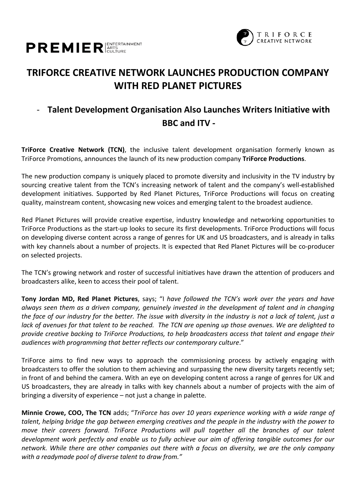



## **TRIFORCE CREATIVE NETWORK LAUNCHES PRODUCTION COMPANY WITH RED PLANET PICTURES**

### - **Talent Development Organisation Also Launches Writers Initiative with BBC and ITV -**

**TriForce Creative Network (TCN)**, the inclusive talent development organisation formerly known as TriForce Promotions, announces the launch of its new production company **TriForce Productions**.

The new production company is uniquely placed to promote diversity and inclusivity in the TV industry by sourcing creative talent from the TCN's increasing network of talent and the company's well-established development initiatives. Supported by Red Planet Pictures, TriForce Productions will focus on creating quality, mainstream content, showcasing new voices and emerging talent to the broadest audience.

Red Planet Pictures will provide creative expertise, industry knowledge and networking opportunities to TriForce Productions as the start-up looks to secure its first developments. TriForce Productions will focus on developing diverse content across a range of genres for UK and US broadcasters, and is already in talks with key channels about a number of projects. It is expected that Red Planet Pictures will be co-producer on selected projects.

The TCN's growing network and roster of successful initiatives have drawn the attention of producers and broadcasters alike, keen to access their pool of talent.

**Tony Jordan MD, Red Planet Pictures**, says; "I *have followed the TCN's work over the years and have always seen them as a driven company, genuinely invested in the development of talent and in changing the face of our industry for the better. The issue with diversity in the industry is not a lack of talent, just a lack of avenues for that talent to be reached. The TCN are opening up those avenues. We are delighted to provide creative backing to TriForce Productions, to help broadcasters access that talent and engage their audiences with programming that better reflects our contemporary culture*."

TriForce aims to find new ways to approach the commissioning process by actively engaging with broadcasters to offer the solution to them achieving and surpassing the new diversity targets recently set; in front of and behind the camera. With an eye on developing content across a range of genres for UK and US broadcasters, they are already in talks with key channels about a number of projects with the aim of bringing a diversity of experience – not just a change in palette.

**Minnie Crowe, COO, The TCN** adds; "*TriForce has over 10 years experience working with a wide range of talent, helping bridge the gap between emerging creatives and the people in the industry with the power to move their careers forward. TriForce Productions will pull together all the branches of our talent development work perfectly and enable us to fully achieve our aim of offering tangible outcomes for our network. While there are other companies out there with a focus on diversity, we are the only company with a readymade pool of diverse talent to draw from."*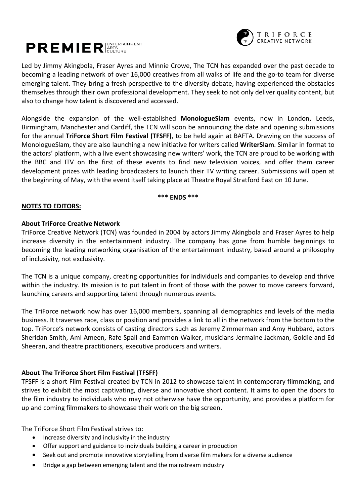

# **PREMIER** ARTS

Led by Jimmy Akingbola, Fraser Ayres and Minnie Crowe, The TCN has expanded over the past decade to becoming a leading network of over 16,000 creatives from all walks of life and the go-to team for diverse emerging talent. They bring a fresh perspective to the diversity debate, having experienced the obstacles themselves through their own professional development. They seek to not only deliver quality content, but also to change how talent is discovered and accessed.

Alongside the expansion of the well-established **MonologueSlam** events, now in London, Leeds, Birmingham, Manchester and Cardiff, the TCN will soon be announcing the date and opening submissions for the annual **TriForce Short Film Festival (TFSFF)**, to be held again at BAFTA. Drawing on the success of MonologueSlam, they are also launching a new initiative for writers called **WriterSlam**. Similar in format to the actors' platform, with a live event showcasing new writers' work, the TCN are proud to be working with the BBC and ITV on the first of these events to find new television voices, and offer them career development prizes with leading broadcasters to launch their TV writing career. Submissions will open at the beginning of May, with the event itself taking place at Theatre Royal Stratford East on 10 June.

#### **\*\*\* ENDS \*\*\***

#### **NOTES TO EDITORS:**

#### **About TriForce Creative Network**

TriForce Creative Network (TCN) was founded in 2004 by actors Jimmy Akingbola and Fraser Ayres to help increase diversity in the entertainment industry. The company has gone from humble beginnings to becoming the leading networking organisation of the entertainment industry, based around a philosophy of inclusivity, not exclusivity.

The TCN is a unique company, creating opportunities for individuals and companies to develop and thrive within the industry. Its mission is to put talent in front of those with the power to move careers forward, launching careers and supporting talent through numerous events.

The TriForce network now has over 16,000 members, spanning all demographics and levels of the media business. It traverses race, class or position and provides a link to all in the network from the bottom to the top. TriForce's network consists of casting directors such as Jeremy Zimmerman and Amy Hubbard, actors Sheridan Smith, Aml Ameen, Rafe Spall and Eammon Walker, musicians Jermaine Jackman, Goldie and Ed Sheeran, and theatre practitioners, executive producers and writers.

#### **About The TriForce Short Film Festival (TFSFF)**

TFSFF is a short Film Festival created by TCN in 2012 to showcase talent in contemporary filmmaking, and strives to exhibit the most captivating, diverse and innovative short content. It aims to open the doors to the film industry to individuals who may not otherwise have the opportunity, and provides a platform for up and coming filmmakers to showcase their work on the big screen.

The TriForce Short Film Festival strives to:

- Increase diversity and inclusivity in the industry
- Offer support and guidance to individuals building a career in production
- Seek out and promote innovative storytelling from diverse film makers for a diverse audience
- Bridge a gap between emerging talent and the mainstream industry